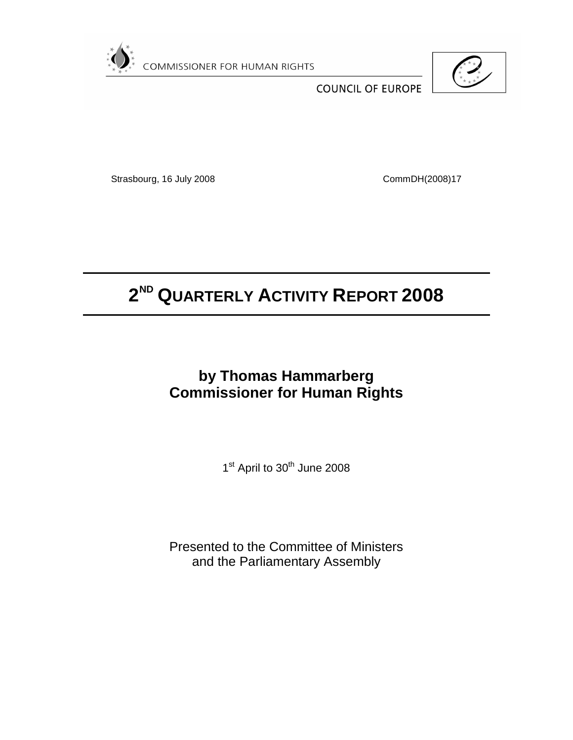



**COUNCIL OF EUROPE** 

Strasbourg, 16 July 2008 CommDH(2008)17

# **2 ND QUARTERLY ACTIVITY REPORT 2008**

## **by Thomas Hammarberg Commissioner for Human Rights**

1<sup>st</sup> April to 30<sup>th</sup> June 2008

Presented to the Committee of Ministers and the Parliamentary Assembly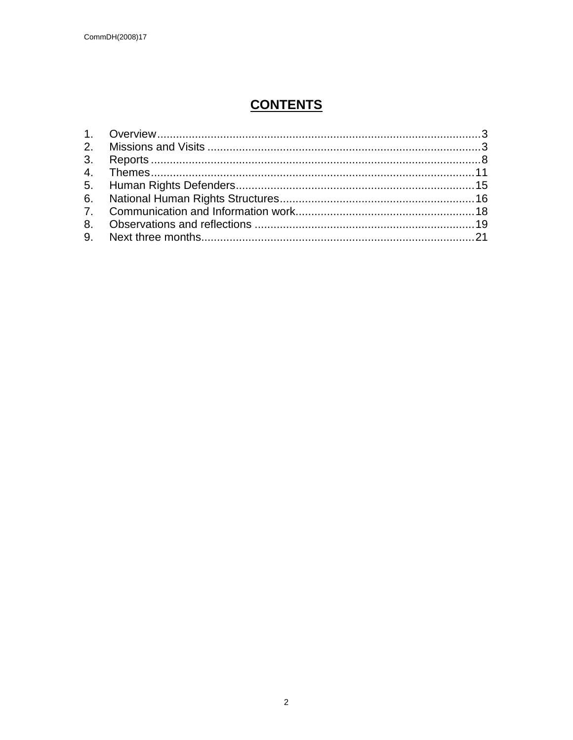## **CONTENTS**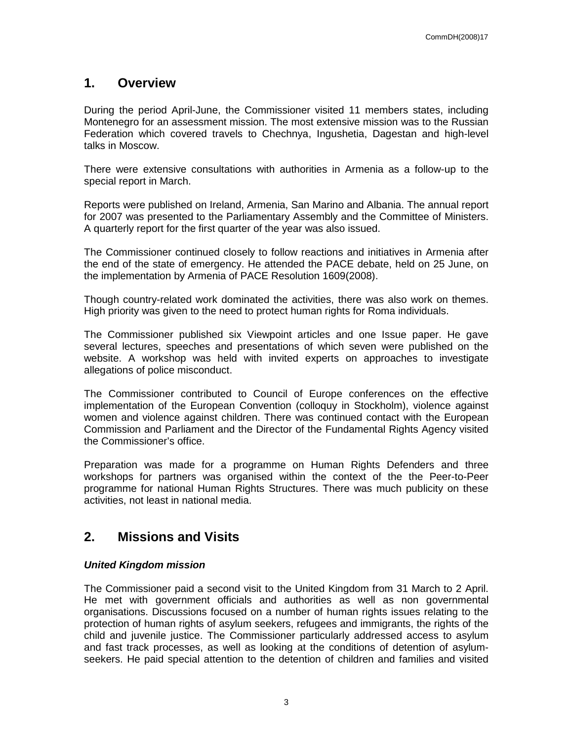## **1. Overview**

During the period April-June, the Commissioner visited 11 members states, including Montenegro for an assessment mission. The most extensive mission was to the Russian Federation which covered travels to Chechnya, Ingushetia, Dagestan and high-level talks in Moscow.

There were extensive consultations with authorities in Armenia as a follow-up to the special report in March.

Reports were published on Ireland, Armenia, San Marino and Albania. The annual report for 2007 was presented to the Parliamentary Assembly and the Committee of Ministers. A quarterly report for the first quarter of the year was also issued.

The Commissioner continued closely to follow reactions and initiatives in Armenia after the end of the state of emergency. He attended the PACE debate, held on 25 June, on the implementation by Armenia of PACE Resolution 1609(2008).

Though country-related work dominated the activities, there was also work on themes. High priority was given to the need to protect human rights for Roma individuals.

The Commissioner published six Viewpoint articles and one Issue paper. He gave several lectures, speeches and presentations of which seven were published on the website. A workshop was held with invited experts on approaches to investigate allegations of police misconduct.

The Commissioner contributed to Council of Europe conferences on the effective implementation of the European Convention (colloquy in Stockholm), violence against women and violence against children. There was continued contact with the European Commission and Parliament and the Director of the Fundamental Rights Agency visited the Commissioner's office.

Preparation was made for a programme on Human Rights Defenders and three workshops for partners was organised within the context of the the Peer-to-Peer programme for national Human Rights Structures. There was much publicity on these activities, not least in national media.

## **2. Missions and Visits**

#### **United Kingdom mission**

The Commissioner paid a second visit to the United Kingdom from 31 March to 2 April. He met with government officials and authorities as well as non governmental organisations. Discussions focused on a number of human rights issues relating to the protection of human rights of asylum seekers, refugees and immigrants, the rights of the child and juvenile justice. The Commissioner particularly addressed access to asylum and fast track processes, as well as looking at the conditions of detention of asylumseekers. He paid special attention to the detention of children and families and visited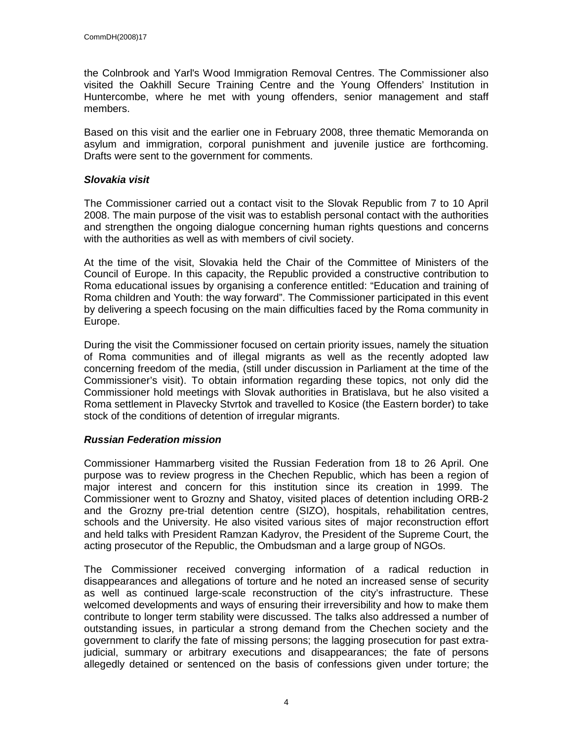the Colnbrook and Yarl's Wood Immigration Removal Centres. The Commissioner also visited the Oakhill Secure Training Centre and the Young Offenders' Institution in Huntercombe, where he met with young offenders, senior management and staff members.

Based on this visit and the earlier one in February 2008, three thematic Memoranda on asylum and immigration, corporal punishment and juvenile justice are forthcoming. Drafts were sent to the government for comments.

#### **Slovakia visit**

The Commissioner carried out a contact visit to the Slovak Republic from 7 to 10 April 2008. The main purpose of the visit was to establish personal contact with the authorities and strengthen the ongoing dialogue concerning human rights questions and concerns with the authorities as well as with members of civil society.

At the time of the visit, Slovakia held the Chair of the Committee of Ministers of the Council of Europe. In this capacity, the Republic provided a constructive contribution to Roma educational issues by organising a conference entitled: "Education and training of Roma children and Youth: the way forward". The Commissioner participated in this event by delivering a speech focusing on the main difficulties faced by the Roma community in Europe.

During the visit the Commissioner focused on certain priority issues, namely the situation of Roma communities and of illegal migrants as well as the recently adopted law concerning freedom of the media, (still under discussion in Parliament at the time of the Commissioner's visit). To obtain information regarding these topics, not only did the Commissioner hold meetings with Slovak authorities in Bratislava, but he also visited a Roma settlement in Plavecky Stvrtok and travelled to Kosice (the Eastern border) to take stock of the conditions of detention of irregular migrants.

#### **Russian Federation mission**

Commissioner Hammarberg visited the Russian Federation from 18 to 26 April. One purpose was to review progress in the Chechen Republic, which has been a region of major interest and concern for this institution since its creation in 1999. The Commissioner went to Grozny and Shatoy, visited places of detention including ORB-2 and the Grozny pre-trial detention centre (SIZO), hospitals, rehabilitation centres, schools and the University. He also visited various sites of major reconstruction effort and held talks with President Ramzan Kadyrov, the President of the Supreme Court, the acting prosecutor of the Republic, the Ombudsman and a large group of NGOs.

The Commissioner received converging information of a radical reduction in disappearances and allegations of torture and he noted an increased sense of security as well as continued large-scale reconstruction of the city's infrastructure. These welcomed developments and ways of ensuring their irreversibility and how to make them contribute to longer term stability were discussed. The talks also addressed a number of outstanding issues, in particular a strong demand from the Chechen society and the government to clarify the fate of missing persons; the lagging prosecution for past extrajudicial, summary or arbitrary executions and disappearances; the fate of persons allegedly detained or sentenced on the basis of confessions given under torture; the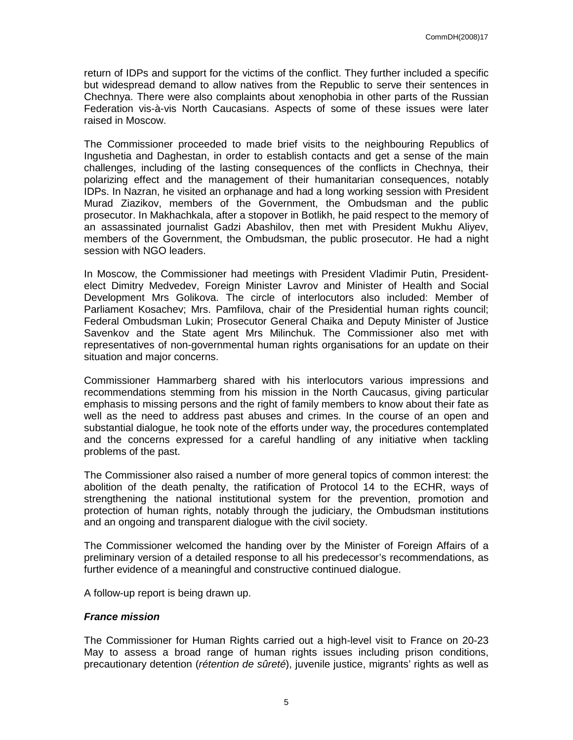return of IDPs and support for the victims of the conflict. They further included a specific but widespread demand to allow natives from the Republic to serve their sentences in Chechnya. There were also complaints about xenophobia in other parts of the Russian Federation vis-à-vis North Caucasians. Aspects of some of these issues were later raised in Moscow.

The Commissioner proceeded to made brief visits to the neighbouring Republics of Ingushetia and Daghestan, in order to establish contacts and get a sense of the main challenges, including of the lasting consequences of the conflicts in Chechnya, their polarizing effect and the management of their humanitarian consequences, notably IDPs. In Nazran, he visited an orphanage and had a long working session with President Murad Ziazikov, members of the Government, the Ombudsman and the public prosecutor. In Makhachkala, after a stopover in Botlikh, he paid respect to the memory of an assassinated journalist Gadzi Abashilov, then met with President Mukhu Aliyev, members of the Government, the Ombudsman, the public prosecutor. He had a night session with NGO leaders.

In Moscow, the Commissioner had meetings with President Vladimir Putin, Presidentelect Dimitry Medvedev, Foreign Minister Lavrov and Minister of Health and Social Development Mrs Golikova. The circle of interlocutors also included: Member of Parliament Kosachev; Mrs. Pamfilova, chair of the Presidential human rights council; Federal Ombudsman Lukin; Prosecutor General Chaika and Deputy Minister of Justice Savenkov and the State agent Mrs Milinchuk. The Commissioner also met with representatives of non-governmental human rights organisations for an update on their situation and major concerns.

Commissioner Hammarberg shared with his interlocutors various impressions and recommendations stemming from his mission in the North Caucasus, giving particular emphasis to missing persons and the right of family members to know about their fate as well as the need to address past abuses and crimes. In the course of an open and substantial dialogue, he took note of the efforts under way, the procedures contemplated and the concerns expressed for a careful handling of any initiative when tackling problems of the past.

The Commissioner also raised a number of more general topics of common interest: the abolition of the death penalty, the ratification of Protocol 14 to the ECHR, ways of strengthening the national institutional system for the prevention, promotion and protection of human rights, notably through the judiciary, the Ombudsman institutions and an ongoing and transparent dialogue with the civil society.

The Commissioner welcomed the handing over by the Minister of Foreign Affairs of a preliminary version of a detailed response to all his predecessor's recommendations, as further evidence of a meaningful and constructive continued dialogue.

A follow-up report is being drawn up.

#### **France mission**

The Commissioner for Human Rights carried out a high-level visit to France on 20-23 May to assess a broad range of human rights issues including prison conditions, precautionary detention (rétention de sûreté), juvenile justice, migrants' rights as well as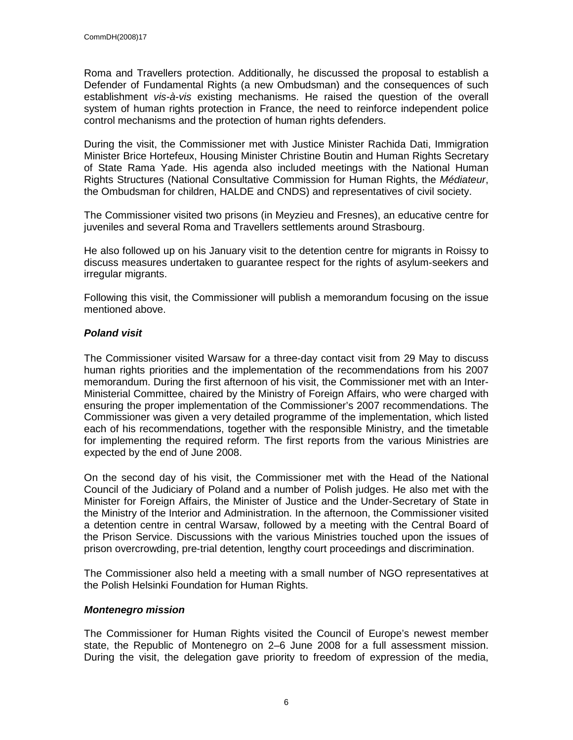Roma and Travellers protection. Additionally, he discussed the proposal to establish a Defender of Fundamental Rights (a new Ombudsman) and the consequences of such establishment vis-à-vis existing mechanisms. He raised the question of the overall system of human rights protection in France, the need to reinforce independent police control mechanisms and the protection of human rights defenders.

During the visit, the Commissioner met with Justice Minister Rachida Dati, Immigration Minister Brice Hortefeux, Housing Minister Christine Boutin and Human Rights Secretary of State Rama Yade. His agenda also included meetings with the National Human Rights Structures (National Consultative Commission for Human Rights, the Médiateur, the Ombudsman for children, HALDE and CNDS) and representatives of civil society.

The Commissioner visited two prisons (in Meyzieu and Fresnes), an educative centre for juveniles and several Roma and Travellers settlements around Strasbourg.

He also followed up on his January visit to the detention centre for migrants in Roissy to discuss measures undertaken to guarantee respect for the rights of asylum-seekers and irregular migrants.

Following this visit, the Commissioner will publish a memorandum focusing on the issue mentioned above.

#### **Poland visit**

The Commissioner visited Warsaw for a three-day contact visit from 29 May to discuss human rights priorities and the implementation of the recommendations from his 2007 memorandum. During the first afternoon of his visit, the Commissioner met with an Inter-Ministerial Committee, chaired by the Ministry of Foreign Affairs, who were charged with ensuring the proper implementation of the Commissioner's 2007 recommendations. The Commissioner was given a very detailed programme of the implementation, which listed each of his recommendations, together with the responsible Ministry, and the timetable for implementing the required reform. The first reports from the various Ministries are expected by the end of June 2008.

On the second day of his visit, the Commissioner met with the Head of the National Council of the Judiciary of Poland and a number of Polish judges. He also met with the Minister for Foreign Affairs, the Minister of Justice and the Under-Secretary of State in the Ministry of the Interior and Administration. In the afternoon, the Commissioner visited a detention centre in central Warsaw, followed by a meeting with the Central Board of the Prison Service. Discussions with the various Ministries touched upon the issues of prison overcrowding, pre-trial detention, lengthy court proceedings and discrimination.

The Commissioner also held a meeting with a small number of NGO representatives at the Polish Helsinki Foundation for Human Rights.

#### **Montenegro mission**

The Commissioner for Human Rights visited the Council of Europe's newest member state, the Republic of Montenegro on 2–6 June 2008 for a full assessment mission. During the visit, the delegation gave priority to freedom of expression of the media,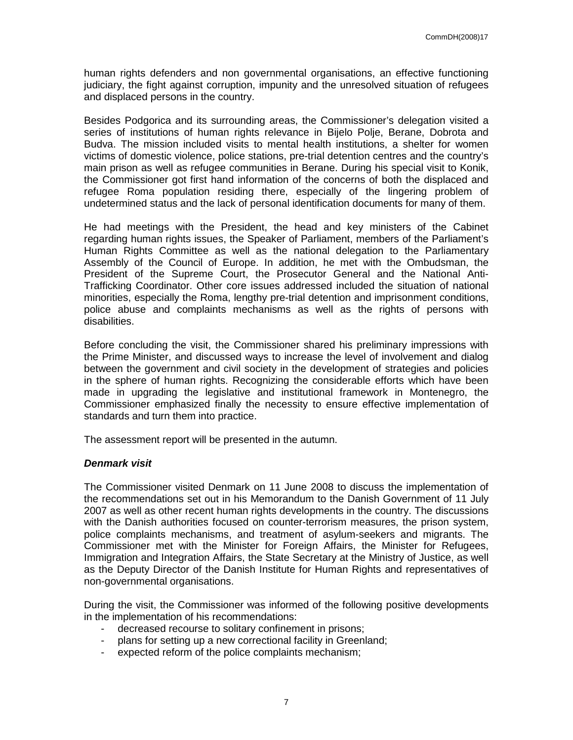human rights defenders and non governmental organisations, an effective functioning judiciary, the fight against corruption, impunity and the unresolved situation of refugees and displaced persons in the country.

Besides Podgorica and its surrounding areas, the Commissioner's delegation visited a series of institutions of human rights relevance in Bijelo Polje, Berane, Dobrota and Budva. The mission included visits to mental health institutions, a shelter for women victims of domestic violence, police stations, pre-trial detention centres and the country's main prison as well as refugee communities in Berane. During his special visit to Konik, the Commissioner got first hand information of the concerns of both the displaced and refugee Roma population residing there, especially of the lingering problem of undetermined status and the lack of personal identification documents for many of them.

He had meetings with the President, the head and key ministers of the Cabinet regarding human rights issues, the Speaker of Parliament, members of the Parliament's Human Rights Committee as well as the national delegation to the Parliamentary Assembly of the Council of Europe. In addition, he met with the Ombudsman, the President of the Supreme Court, the Prosecutor General and the National Anti-Trafficking Coordinator. Other core issues addressed included the situation of national minorities, especially the Roma, lengthy pre-trial detention and imprisonment conditions, police abuse and complaints mechanisms as well as the rights of persons with disabilities.

Before concluding the visit, the Commissioner shared his preliminary impressions with the Prime Minister, and discussed ways to increase the level of involvement and dialog between the government and civil society in the development of strategies and policies in the sphere of human rights. Recognizing the considerable efforts which have been made in upgrading the legislative and institutional framework in Montenegro, the Commissioner emphasized finally the necessity to ensure effective implementation of standards and turn them into practice.

The assessment report will be presented in the autumn.

#### **Denmark visit**

The Commissioner visited Denmark on 11 June 2008 to discuss the implementation of the recommendations set out in his Memorandum to the Danish Government of 11 July 2007 as well as other recent human rights developments in the country. The discussions with the Danish authorities focused on counter-terrorism measures, the prison system, police complaints mechanisms, and treatment of asylum-seekers and migrants. The Commissioner met with the Minister for Foreign Affairs, the Minister for Refugees, Immigration and Integration Affairs, the State Secretary at the Ministry of Justice, as well as the Deputy Director of the Danish Institute for Human Rights and representatives of non-governmental organisations.

During the visit, the Commissioner was informed of the following positive developments in the implementation of his recommendations:

- decreased recourse to solitary confinement in prisons;
- plans for setting up a new correctional facility in Greenland;
- expected reform of the police complaints mechanism;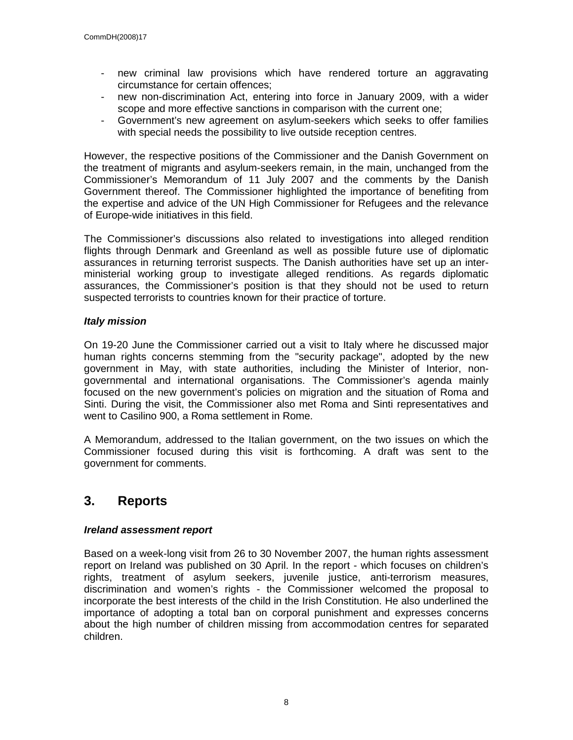- new criminal law provisions which have rendered torture an aggravating circumstance for certain offences;
- new non-discrimination Act, entering into force in January 2009, with a wider scope and more effective sanctions in comparison with the current one;
- Government's new agreement on asylum-seekers which seeks to offer families with special needs the possibility to live outside reception centres.

However, the respective positions of the Commissioner and the Danish Government on the treatment of migrants and asylum-seekers remain, in the main, unchanged from the Commissioner's Memorandum of 11 July 2007 and the comments by the Danish Government thereof. The Commissioner highlighted the importance of benefiting from the expertise and advice of the UN High Commissioner for Refugees and the relevance of Europe-wide initiatives in this field.

The Commissioner's discussions also related to investigations into alleged rendition flights through Denmark and Greenland as well as possible future use of diplomatic assurances in returning terrorist suspects. The Danish authorities have set up an interministerial working group to investigate alleged renditions. As regards diplomatic assurances, the Commissioner's position is that they should not be used to return suspected terrorists to countries known for their practice of torture.

#### **Italy mission**

On 19-20 June the Commissioner carried out a visit to Italy where he discussed major human rights concerns stemming from the "security package", adopted by the new government in May, with state authorities, including the Minister of Interior, nongovernmental and international organisations. The Commissioner's agenda mainly focused on the new government's policies on migration and the situation of Roma and Sinti. During the visit, the Commissioner also met Roma and Sinti representatives and went to Casilino 900, a Roma settlement in Rome.

A Memorandum, addressed to the Italian government, on the two issues on which the Commissioner focused during this visit is forthcoming. A draft was sent to the government for comments.

### **3. Reports**

#### **Ireland assessment report**

Based on a week-long visit from 26 to 30 November 2007, the human rights assessment report on Ireland was published on 30 April. In the report - which focuses on children's rights, treatment of asylum seekers, juvenile justice, anti-terrorism measures, discrimination and women's rights - the Commissioner welcomed the proposal to incorporate the best interests of the child in the Irish Constitution. He also underlined the importance of adopting a total ban on corporal punishment and expresses concerns about the high number of children missing from accommodation centres for separated children.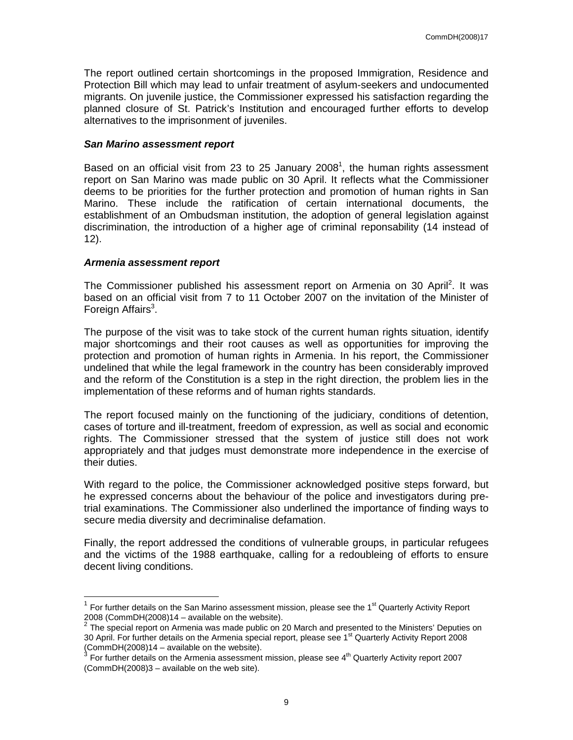The report outlined certain shortcomings in the proposed Immigration, Residence and Protection Bill which may lead to unfair treatment of asylum-seekers and undocumented migrants. On juvenile justice, the Commissioner expressed his satisfaction regarding the planned closure of St. Patrick's Institution and encouraged further efforts to develop alternatives to the imprisonment of juveniles.

#### **San Marino assessment report**

Based on an official visit from 23 to 25 January 2008<sup>1</sup>, the human rights assessment report on San Marino was made public on 30 April. It reflects what the Commissioner deems to be priorities for the further protection and promotion of human rights in San Marino. These include the ratification of certain international documents, the establishment of an Ombudsman institution, the adoption of general legislation against discrimination, the introduction of a higher age of criminal reponsability (14 instead of 12).

#### **Armenia assessment report**

The Commissioner published his assessment report on Armenia on 30 April<sup>2</sup>. It was based on an official visit from 7 to 11 October 2007 on the invitation of the Minister of Foreign Affairs<sup>3</sup>.

The purpose of the visit was to take stock of the current human rights situation, identify major shortcomings and their root causes as well as opportunities for improving the protection and promotion of human rights in Armenia. In his report, the Commissioner undelined that while the legal framework in the country has been considerably improved and the reform of the Constitution is a step in the right direction, the problem lies in the implementation of these reforms and of human rights standards.

The report focused mainly on the functioning of the judiciary, conditions of detention, cases of torture and ill-treatment, freedom of expression, as well as social and economic rights. The Commissioner stressed that the system of justice still does not work appropriately and that judges must demonstrate more independence in the exercise of their duties.

With regard to the police, the Commissioner acknowledged positive steps forward, but he expressed concerns about the behaviour of the police and investigators during pretrial examinations. The Commissioner also underlined the importance of finding ways to secure media diversity and decriminalise defamation.

Finally, the report addressed the conditions of vulnerable groups, in particular refugees and the victims of the 1988 earthquake, calling for a redoubleing of efforts to ensure decent living conditions.

The Tor further details on the San Marino assessment mission, please see the 1<sup>st</sup> Quarterly Activity Report<br><sup>1</sup> For further details on the San Marino assessment mission, please see the 1<sup>st</sup> Quarterly Activity Report

<sup>2008 (</sup>CommDH(2008)14 – available on the website).<br><sup>2</sup> The special report on Armenia was made public on 20 March and presented to the Ministers' Deputies on 30 April. For further details on the Armenia special report, please see 1<sup>st</sup> Quarterly Activity Report 2008 (CommDH(2008)14 – available on the website).<br><sup>3</sup> Fer further details an the Armania assessment.

For further details on the Armenia assessment mission, please see 4<sup>th</sup> Quarterly Activity report 2007 (CommDH(2008)3 – available on the web site).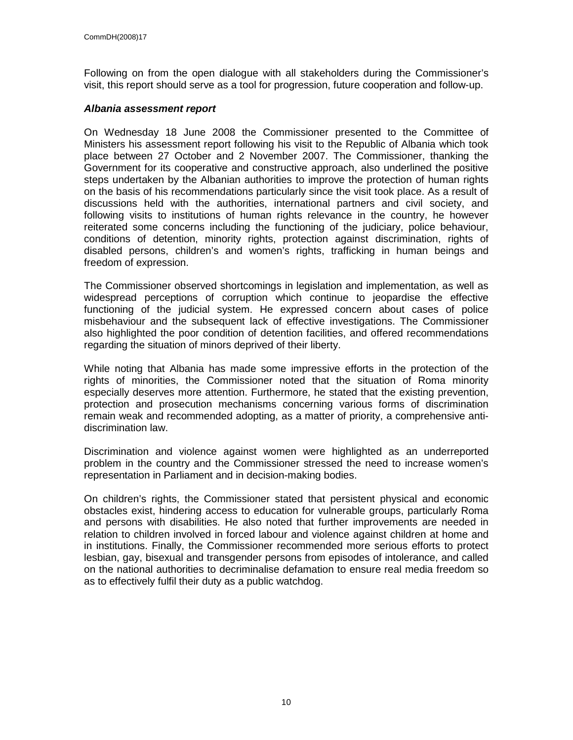Following on from the open dialogue with all stakeholders during the Commissioner's visit, this report should serve as a tool for progression, future cooperation and follow-up.

#### **Albania assessment report**

On Wednesday 18 June 2008 the Commissioner presented to the Committee of Ministers his assessment report following his visit to the Republic of Albania which took place between 27 October and 2 November 2007. The Commissioner, thanking the Government for its cooperative and constructive approach, also underlined the positive steps undertaken by the Albanian authorities to improve the protection of human rights on the basis of his recommendations particularly since the visit took place. As a result of discussions held with the authorities, international partners and civil society, and following visits to institutions of human rights relevance in the country, he however reiterated some concerns including the functioning of the judiciary, police behaviour, conditions of detention, minority rights, protection against discrimination, rights of disabled persons, children's and women's rights, trafficking in human beings and freedom of expression.

The Commissioner observed shortcomings in legislation and implementation, as well as widespread perceptions of corruption which continue to jeopardise the effective functioning of the judicial system. He expressed concern about cases of police misbehaviour and the subsequent lack of effective investigations. The Commissioner also highlighted the poor condition of detention facilities, and offered recommendations regarding the situation of minors deprived of their liberty.

While noting that Albania has made some impressive efforts in the protection of the rights of minorities, the Commissioner noted that the situation of Roma minority especially deserves more attention. Furthermore, he stated that the existing prevention, protection and prosecution mechanisms concerning various forms of discrimination remain weak and recommended adopting, as a matter of priority, a comprehensive antidiscrimination law.

Discrimination and violence against women were highlighted as an underreported problem in the country and the Commissioner stressed the need to increase women's representation in Parliament and in decision-making bodies.

On children's rights, the Commissioner stated that persistent physical and economic obstacles exist, hindering access to education for vulnerable groups, particularly Roma and persons with disabilities. He also noted that further improvements are needed in relation to children involved in forced labour and violence against children at home and in institutions. Finally, the Commissioner recommended more serious efforts to protect lesbian, gay, bisexual and transgender persons from episodes of intolerance, and called on the national authorities to decriminalise defamation to ensure real media freedom so as to effectively fulfil their duty as a public watchdog.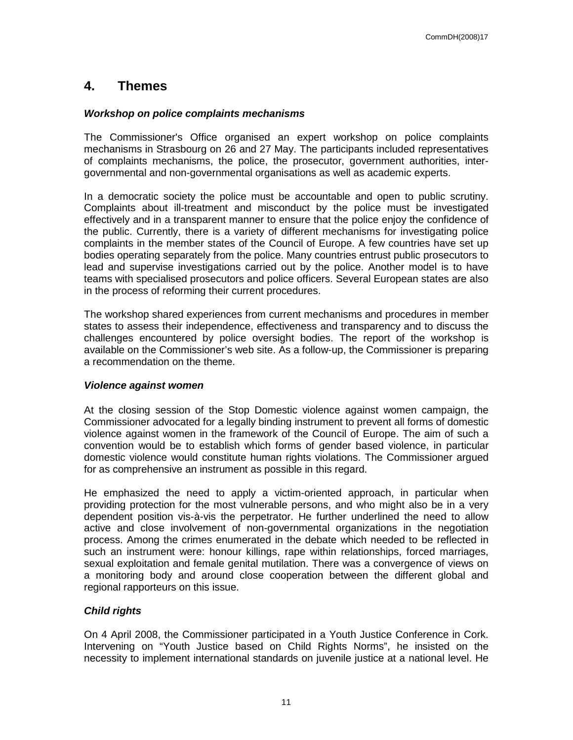## **4. Themes**

#### **Workshop on police complaints mechanisms**

The Commissioner's Office organised an expert workshop on police complaints mechanisms in Strasbourg on 26 and 27 May. The participants included representatives of complaints mechanisms, the police, the prosecutor, government authorities, intergovernmental and non-governmental organisations as well as academic experts.

In a democratic society the police must be accountable and open to public scrutiny. Complaints about ill-treatment and misconduct by the police must be investigated effectively and in a transparent manner to ensure that the police enjoy the confidence of the public. Currently, there is a variety of different mechanisms for investigating police complaints in the member states of the Council of Europe. A few countries have set up bodies operating separately from the police. Many countries entrust public prosecutors to lead and supervise investigations carried out by the police. Another model is to have teams with specialised prosecutors and police officers. Several European states are also in the process of reforming their current procedures.

The workshop shared experiences from current mechanisms and procedures in member states to assess their independence, effectiveness and transparency and to discuss the challenges encountered by police oversight bodies. The report of the workshop is available on the Commissioner's web site. As a follow-up, the Commissioner is preparing a recommendation on the theme.

#### **Violence against women**

At the closing session of the Stop Domestic violence against women campaign, the Commissioner advocated for a legally binding instrument to prevent all forms of domestic violence against women in the framework of the Council of Europe. The aim of such a convention would be to establish which forms of gender based violence, in particular domestic violence would constitute human rights violations. The Commissioner argued for as comprehensive an instrument as possible in this regard.

He emphasized the need to apply a victim-oriented approach, in particular when providing protection for the most vulnerable persons, and who might also be in a very dependent position vis-à-vis the perpetrator. He further underlined the need to allow active and close involvement of non-governmental organizations in the negotiation process. Among the crimes enumerated in the debate which needed to be reflected in such an instrument were: honour killings, rape within relationships, forced marriages, sexual exploitation and female genital mutilation. There was a convergence of views on a monitoring body and around close cooperation between the different global and regional rapporteurs on this issue.

#### **Child rights**

On 4 April 2008, the Commissioner participated in a Youth Justice Conference in Cork. Intervening on "Youth Justice based on Child Rights Norms", he insisted on the necessity to implement international standards on juvenile justice at a national level. He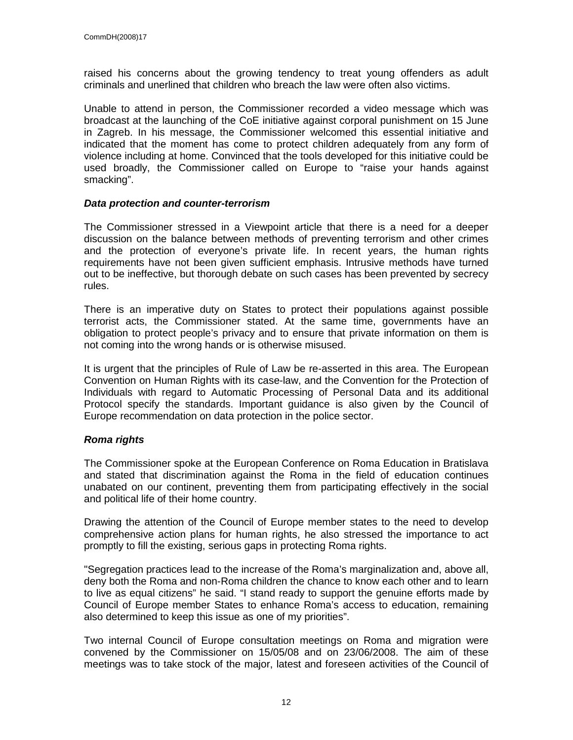raised his concerns about the growing tendency to treat young offenders as adult criminals and unerlined that children who breach the law were often also victims.

Unable to attend in person, the Commissioner recorded a video message which was broadcast at the launching of the CoE initiative against corporal punishment on 15 June in Zagreb. In his message, the Commissioner welcomed this essential initiative and indicated that the moment has come to protect children adequately from any form of violence including at home. Convinced that the tools developed for this initiative could be used broadly, the Commissioner called on Europe to "raise your hands against smacking".

#### **Data protection and counter-terrorism**

The Commissioner stressed in a Viewpoint article that there is a need for a deeper discussion on the balance between methods of preventing terrorism and other crimes and the protection of everyone's private life. In recent years, the human rights requirements have not been given sufficient emphasis. Intrusive methods have turned out to be ineffective, but thorough debate on such cases has been prevented by secrecy rules.

There is an imperative duty on States to protect their populations against possible terrorist acts, the Commissioner stated. At the same time, governments have an obligation to protect people's privacy and to ensure that private information on them is not coming into the wrong hands or is otherwise misused.

It is urgent that the principles of Rule of Law be re-asserted in this area. The European Convention on Human Rights with its case-law, and the Convention for the Protection of Individuals with regard to Automatic Processing of Personal Data and its additional Protocol specify the standards. Important guidance is also given by the Council of Europe recommendation on data protection in the police sector.

#### **Roma rights**

The Commissioner spoke at the European Conference on Roma Education in Bratislava and stated that discrimination against the Roma in the field of education continues unabated on our continent, preventing them from participating effectively in the social and political life of their home country.

Drawing the attention of the Council of Europe member states to the need to develop comprehensive action plans for human rights, he also stressed the importance to act promptly to fill the existing, serious gaps in protecting Roma rights.

"Segregation practices lead to the increase of the Roma's marginalization and, above all, deny both the Roma and non-Roma children the chance to know each other and to learn to live as equal citizens" he said. "I stand ready to support the genuine efforts made by Council of Europe member States to enhance Roma's access to education, remaining also determined to keep this issue as one of my priorities".

Two internal Council of Europe consultation meetings on Roma and migration were convened by the Commissioner on 15/05/08 and on 23/06/2008. The aim of these meetings was to take stock of the major, latest and foreseen activities of the Council of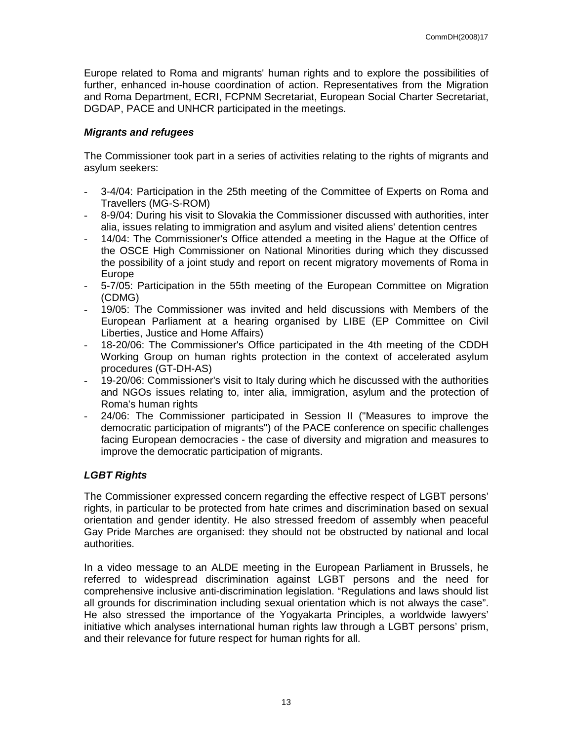Europe related to Roma and migrants' human rights and to explore the possibilities of further, enhanced in-house coordination of action. Representatives from the Migration and Roma Department, ECRI, FCPNM Secretariat, European Social Charter Secretariat, DGDAP, PACE and UNHCR participated in the meetings.

#### **Migrants and refugees**

The Commissioner took part in a series of activities relating to the rights of migrants and asylum seekers:

- 3-4/04: Participation in the 25th meeting of the Committee of Experts on Roma and Travellers (MG-S-ROM)
- 8-9/04: During his visit to Slovakia the Commissioner discussed with authorities, inter alia, issues relating to immigration and asylum and visited aliens' detention centres
- 14/04: The Commissioner's Office attended a meeting in the Hague at the Office of the OSCE High Commissioner on National Minorities during which they discussed the possibility of a joint study and report on recent migratory movements of Roma in Europe
- 5-7/05: Participation in the 55th meeting of the European Committee on Migration (CDMG)
- 19/05: The Commissioner was invited and held discussions with Members of the European Parliament at a hearing organised by LIBE (EP Committee on Civil Liberties, Justice and Home Affairs)
- 18-20/06: The Commissioner's Office participated in the 4th meeting of the CDDH Working Group on human rights protection in the context of accelerated asylum procedures (GT-DH-AS)
- 19-20/06: Commissioner's visit to Italy during which he discussed with the authorities and NGOs issues relating to, inter alia, immigration, asylum and the protection of Roma's human rights
- 24/06: The Commissioner participated in Session II ("Measures to improve the democratic participation of migrants") of the PACE conference on specific challenges facing European democracies - the case of diversity and migration and measures to improve the democratic participation of migrants.

#### **LGBT Rights**

The Commissioner expressed concern regarding the effective respect of LGBT persons' rights, in particular to be protected from hate crimes and discrimination based on sexual orientation and gender identity. He also stressed freedom of assembly when peaceful Gay Pride Marches are organised: they should not be obstructed by national and local authorities.

In a video message to an ALDE meeting in the European Parliament in Brussels, he referred to widespread discrimination against LGBT persons and the need for comprehensive inclusive anti-discrimination legislation. "Regulations and laws should list all grounds for discrimination including sexual orientation which is not always the case". He also stressed the importance of the Yogyakarta Principles, a worldwide lawyers' initiative which analyses international human rights law through a LGBT persons' prism, and their relevance for future respect for human rights for all.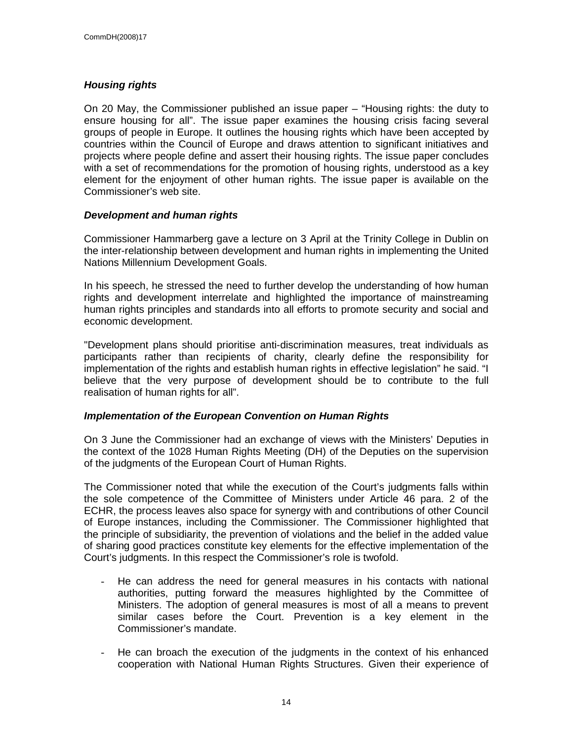#### **Housing rights**

On 20 May, the Commissioner published an issue paper – "Housing rights: the duty to ensure housing for all". The issue paper examines the housing crisis facing several groups of people in Europe. It outlines the housing rights which have been accepted by countries within the Council of Europe and draws attention to significant initiatives and projects where people define and assert their housing rights. The issue paper concludes with a set of recommendations for the promotion of housing rights, understood as a key element for the enjoyment of other human rights. The issue paper is available on the Commissioner's web site.

#### **Development and human rights**

Commissioner Hammarberg gave a lecture on 3 April at the Trinity College in Dublin on the inter-relationship between development and human rights in implementing the United Nations Millennium Development Goals.

In his speech, he stressed the need to further develop the understanding of how human rights and development interrelate and highlighted the importance of mainstreaming human rights principles and standards into all efforts to promote security and social and economic development.

"Development plans should prioritise anti-discrimination measures, treat individuals as participants rather than recipients of charity, clearly define the responsibility for implementation of the rights and establish human rights in effective legislation" he said. "I believe that the very purpose of development should be to contribute to the full realisation of human rights for all".

#### **Implementation of the European Convention on Human Rights**

On 3 June the Commissioner had an exchange of views with the Ministers' Deputies in the context of the 1028 Human Rights Meeting (DH) of the Deputies on the supervision of the judgments of the European Court of Human Rights.

The Commissioner noted that while the execution of the Court's judgments falls within the sole competence of the Committee of Ministers under Article 46 para. 2 of the ECHR, the process leaves also space for synergy with and contributions of other Council of Europe instances, including the Commissioner. The Commissioner highlighted that the principle of subsidiarity, the prevention of violations and the belief in the added value of sharing good practices constitute key elements for the effective implementation of the Court's judgments. In this respect the Commissioner's role is twofold.

- He can address the need for general measures in his contacts with national authorities, putting forward the measures highlighted by the Committee of Ministers. The adoption of general measures is most of all a means to prevent similar cases before the Court. Prevention is a key element in the Commissioner's mandate.
- He can broach the execution of the judgments in the context of his enhanced cooperation with National Human Rights Structures. Given their experience of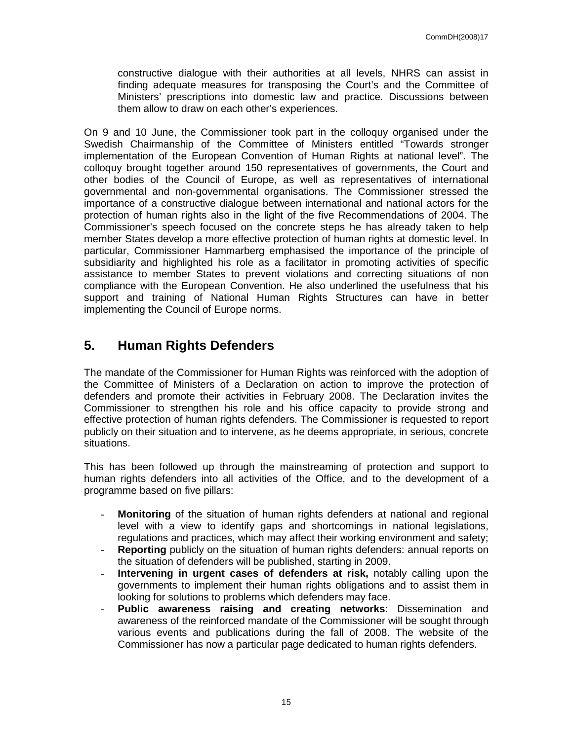constructive dialogue with their authorities at all levels, NHRS can assist in finding adequate measures for transposing the Court's and the Committee of Ministers' prescriptions into domestic law and practice. Discussions between them allow to draw on each other's experiences.

On 9 and 10 June, the Commissioner took part in the colloquy organised under the Swedish Chairmanship of the Committee of Ministers entitled "Towards stronger implementation of the European Convention of Human Rights at national level". The colloquy brought together around 150 representatives of governments, the Court and other bodies of the Council of Europe, as well as representatives of international governmental and non-governmental organisations. The Commissioner stressed the importance of a constructive dialogue between international and national actors for the protection of human rights also in the light of the five Recommendations of 2004. The Commissioner's speech focused on the concrete steps he has already taken to help member States develop a more effective protection of human rights at domestic level. In particular, Commissioner Hammarberg emphasised the importance of the principle of subsidiarity and highlighted his role as a facilitator in promoting activities of specific assistance to member States to prevent violations and correcting situations of non compliance with the European Convention. He also underlined the usefulness that his support and training of National Human Rights Structures can have in better implementing the Council of Europe norms.

## **5. Human Rights Defenders**

The mandate of the Commissioner for Human Rights was reinforced with the adoption of the Committee of Ministers of a Declaration on action to improve the protection of defenders and promote their activities in February 2008. The Declaration invites the Commissioner to strengthen his role and his office capacity to provide strong and effective protection of human rights defenders. The Commissioner is requested to report publicly on their situation and to intervene, as he deems appropriate, in serious, concrete situations.

This has been followed up through the mainstreaming of protection and support to human rights defenders into all activities of the Office, and to the development of a programme based on five pillars:

- **Monitoring** of the situation of human rights defenders at national and regional level with a view to identify gaps and shortcomings in national legislations, regulations and practices, which may affect their working environment and safety;
- **Reporting** publicly on the situation of human rights defenders: annual reports on the situation of defenders will be published, starting in 2009.
- **Intervening in urgent cases of defenders at risk,** notably calling upon the governments to implement their human rights obligations and to assist them in looking for solutions to problems which defenders may face.
- **Public awareness raising and creating networks**: Dissemination and awareness of the reinforced mandate of the Commissioner will be sought through various events and publications during the fall of 2008. The website of the Commissioner has now a particular page dedicated to human rights defenders.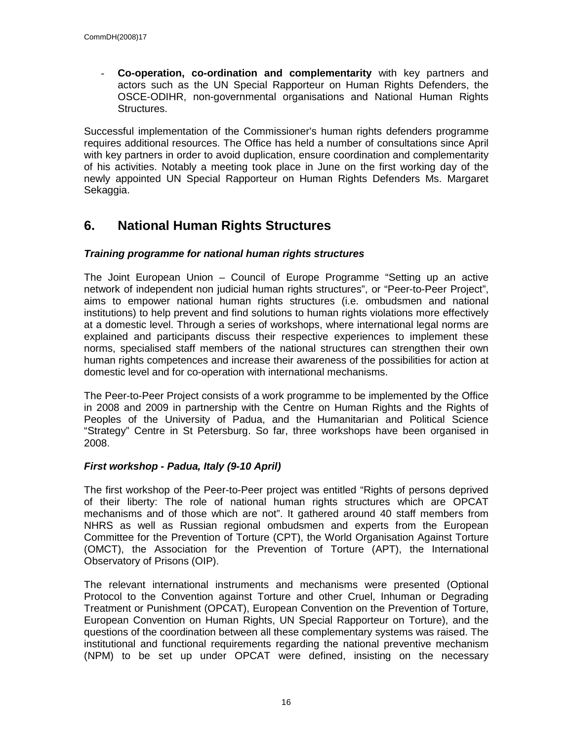- **Co-operation, co-ordination and complementarity** with key partners and actors such as the UN Special Rapporteur on Human Rights Defenders, the OSCE-ODIHR, non-governmental organisations and National Human Rights Structures.

Successful implementation of the Commissioner's human rights defenders programme requires additional resources. The Office has held a number of consultations since April with key partners in order to avoid duplication, ensure coordination and complementarity of his activities. Notably a meeting took place in June on the first working day of the newly appointed UN Special Rapporteur on Human Rights Defenders Ms. Margaret Sekaggia.

## **6. National Human Rights Structures**

#### **Training programme for national human rights structures**

The Joint European Union – Council of Europe Programme "Setting up an active network of independent non judicial human rights structures", or "Peer-to-Peer Project", aims to empower national human rights structures (i.e. ombudsmen and national institutions) to help prevent and find solutions to human rights violations more effectively at a domestic level. Through a series of workshops, where international legal norms are explained and participants discuss their respective experiences to implement these norms, specialised staff members of the national structures can strengthen their own human rights competences and increase their awareness of the possibilities for action at domestic level and for co-operation with international mechanisms.

The Peer-to-Peer Project consists of a work programme to be implemented by the Office in 2008 and 2009 in partnership with the Centre on Human Rights and the Rights of Peoples of the University of Padua, and the Humanitarian and Political Science "Strategy" Centre in St Petersburg. So far, three workshops have been organised in 2008.

#### **First workshop - Padua, Italy (9-10 April)**

The first workshop of the Peer-to-Peer project was entitled "Rights of persons deprived of their liberty: The role of national human rights structures which are OPCAT mechanisms and of those which are not". It gathered around 40 staff members from NHRS as well as Russian regional ombudsmen and experts from the European Committee for the Prevention of Torture (CPT), the World Organisation Against Torture (OMCT), the Association for the Prevention of Torture (APT), the International Observatory of Prisons (OIP).

The relevant international instruments and mechanisms were presented (Optional Protocol to the Convention against Torture and other Cruel, Inhuman or Degrading Treatment or Punishment (OPCAT), European Convention on the Prevention of Torture, European Convention on Human Rights, UN Special Rapporteur on Torture), and the questions of the coordination between all these complementary systems was raised. The institutional and functional requirements regarding the national preventive mechanism (NPM) to be set up under OPCAT were defined, insisting on the necessary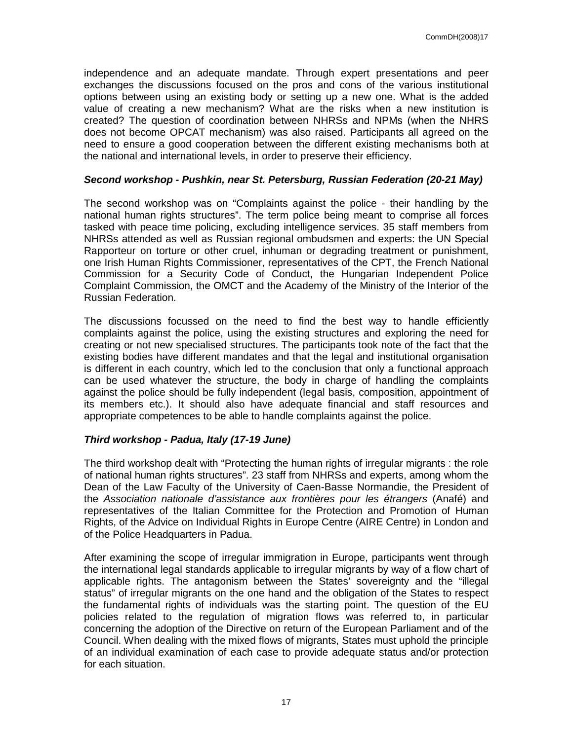independence and an adequate mandate. Through expert presentations and peer exchanges the discussions focused on the pros and cons of the various institutional options between using an existing body or setting up a new one. What is the added value of creating a new mechanism? What are the risks when a new institution is created? The question of coordination between NHRSs and NPMs (when the NHRS does not become OPCAT mechanism) was also raised. Participants all agreed on the need to ensure a good cooperation between the different existing mechanisms both at the national and international levels, in order to preserve their efficiency.

#### **Second workshop - Pushkin, near St. Petersburg, Russian Federation (20-21 May)**

The second workshop was on "Complaints against the police - their handling by the national human rights structures". The term police being meant to comprise all forces tasked with peace time policing, excluding intelligence services. 35 staff members from NHRSs attended as well as Russian regional ombudsmen and experts: the UN Special Rapporteur on torture or other cruel, inhuman or degrading treatment or punishment, one Irish Human Rights Commissioner, representatives of the CPT, the French National Commission for a Security Code of Conduct, the Hungarian Independent Police Complaint Commission, the OMCT and the Academy of the Ministry of the Interior of the Russian Federation.

The discussions focussed on the need to find the best way to handle efficiently complaints against the police, using the existing structures and exploring the need for creating or not new specialised structures. The participants took note of the fact that the existing bodies have different mandates and that the legal and institutional organisation is different in each country, which led to the conclusion that only a functional approach can be used whatever the structure, the body in charge of handling the complaints against the police should be fully independent (legal basis, composition, appointment of its members etc.). It should also have adequate financial and staff resources and appropriate competences to be able to handle complaints against the police.

#### **Third workshop - Padua, Italy (17-19 June)**

The third workshop dealt with "Protecting the human rights of irregular migrants : the role of national human rights structures". 23 staff from NHRSs and experts, among whom the Dean of the Law Faculty of the University of Caen-Basse Normandie, the President of the Association nationale d'assistance aux frontières pour les étrangers (Anafé) and representatives of the Italian Committee for the Protection and Promotion of Human Rights, of the Advice on Individual Rights in Europe Centre (AIRE Centre) in London and of the Police Headquarters in Padua.

After examining the scope of irregular immigration in Europe, participants went through the international legal standards applicable to irregular migrants by way of a flow chart of applicable rights. The antagonism between the States' sovereignty and the "illegal status" of irregular migrants on the one hand and the obligation of the States to respect the fundamental rights of individuals was the starting point. The question of the EU policies related to the regulation of migration flows was referred to, in particular concerning the adoption of the Directive on return of the European Parliament and of the Council. When dealing with the mixed flows of migrants, States must uphold the principle of an individual examination of each case to provide adequate status and/or protection for each situation.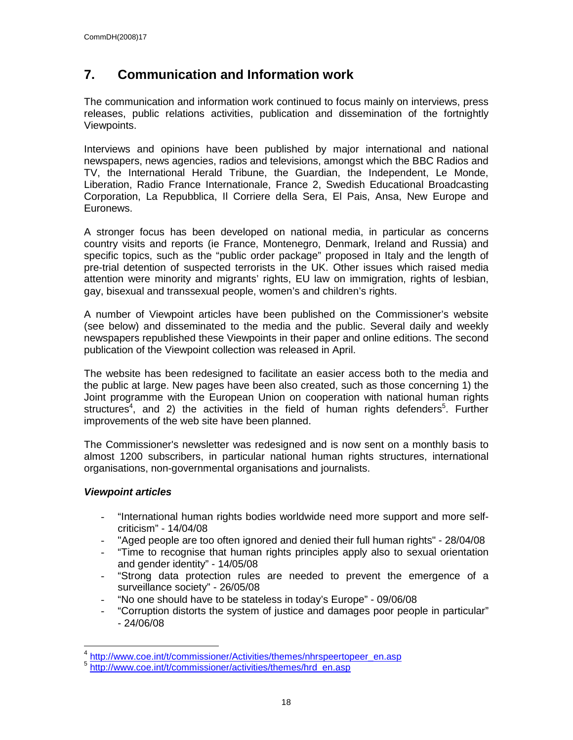## **7. Communication and Information work**

The communication and information work continued to focus mainly on interviews, press releases, public relations activities, publication and dissemination of the fortnightly Viewpoints.

Interviews and opinions have been published by major international and national newspapers, news agencies, radios and televisions, amongst which the BBC Radios and TV, the International Herald Tribune, the Guardian, the Independent, Le Monde, Liberation, Radio France Internationale, France 2, Swedish Educational Broadcasting Corporation, La Repubblica, Il Corriere della Sera, El Pais, Ansa, New Europe and Euronews.

A stronger focus has been developed on national media, in particular as concerns country visits and reports (ie France, Montenegro, Denmark, Ireland and Russia) and specific topics, such as the "public order package" proposed in Italy and the length of pre-trial detention of suspected terrorists in the UK. Other issues which raised media attention were minority and migrants' rights, EU law on immigration, rights of lesbian, gay, bisexual and transsexual people, women's and children's rights.

A number of Viewpoint articles have been published on the Commissioner's website (see below) and disseminated to the media and the public. Several daily and weekly newspapers republished these Viewpoints in their paper and online editions. The second publication of the Viewpoint collection was released in April.

The website has been redesigned to facilitate an easier access both to the media and the public at large. New pages have been also created, such as those concerning 1) the Joint programme with the European Union on cooperation with national human rights structures<sup>4</sup>, and 2) the activities in the field of human rights defenders<sup>5</sup>. Further improvements of the web site have been planned.

The Commissioner's newsletter was redesigned and is now sent on a monthly basis to almost 1200 subscribers, in particular national human rights structures, international organisations, non-governmental organisations and journalists.

#### **Viewpoint articles**

- "International human rights bodies worldwide need more support and more selfcriticism" - 14/04/08
- "Aged people are too often ignored and denied their full human rights" 28/04/08
- "Time to recognise that human rights principles apply also to sexual orientation and gender identity" - 14/05/08
- "Strong data protection rules are needed to prevent the emergence of a surveillance society" - 26/05/08
- "No one should have to be stateless in today's Europe" 09/06/08
- "Corruption distorts the system of justice and damages poor people in particular" - 24/06/08

 4 http://www.coe.int/t/commissioner/Activities/themes/nhrspeertopeer\_en.asp

<sup>5</sup> http://www.coe.int/t/commissioner/activities/themes/hrd\_en.asp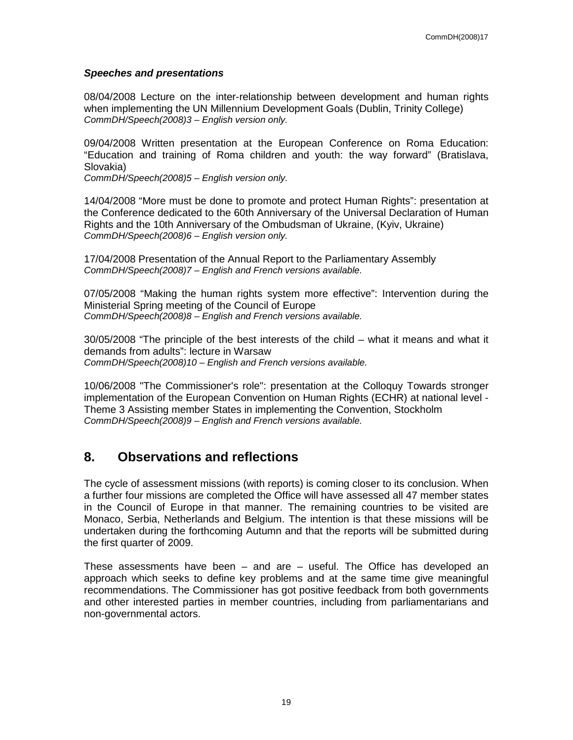#### **Speeches and presentations**

08/04/2008 Lecture on the inter-relationship between development and human rights when implementing the UN Millennium Development Goals (Dublin, Trinity College) CommDH/Speech(2008)3 – English version only.

09/04/2008 Written presentation at the European Conference on Roma Education: "Education and training of Roma children and youth: the way forward" (Bratislava, Slovakia)

CommDH/Speech(2008)5 – English version only.

14/04/2008 "More must be done to promote and protect Human Rights": presentation at the Conference dedicated to the 60th Anniversary of the Universal Declaration of Human Rights and the 10th Anniversary of the Ombudsman of Ukraine, (Kyiv, Ukraine) CommDH/Speech(2008)6 – English version only.

17/04/2008 Presentation of the Annual Report to the Parliamentary Assembly CommDH/Speech(2008)7 – English and French versions available.

07/05/2008 "Making the human rights system more effective": Intervention during the Ministerial Spring meeting of the Council of Europe CommDH/Speech(2008)8 – English and French versions available.

30/05/2008 "The principle of the best interests of the child – what it means and what it demands from adults": lecture in Warsaw CommDH/Speech(2008)10 – English and French versions available.

10/06/2008 "The Commissioner's role": presentation at the Colloquy Towards stronger implementation of the European Convention on Human Rights (ECHR) at national level - Theme 3 Assisting member States in implementing the Convention, Stockholm CommDH/Speech(2008)9 – English and French versions available.

## **8. Observations and reflections**

The cycle of assessment missions (with reports) is coming closer to its conclusion. When a further four missions are completed the Office will have assessed all 47 member states in the Council of Europe in that manner. The remaining countries to be visited are Monaco, Serbia, Netherlands and Belgium. The intention is that these missions will be undertaken during the forthcoming Autumn and that the reports will be submitted during the first quarter of 2009.

These assessments have been – and are – useful. The Office has developed an approach which seeks to define key problems and at the same time give meaningful recommendations. The Commissioner has got positive feedback from both governments and other interested parties in member countries, including from parliamentarians and non-governmental actors.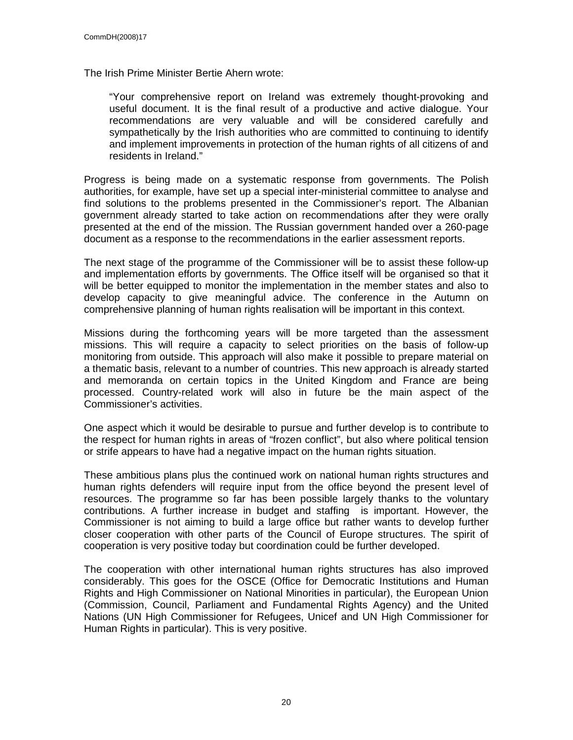The Irish Prime Minister Bertie Ahern wrote:

"Your comprehensive report on Ireland was extremely thought-provoking and useful document. It is the final result of a productive and active dialogue. Your recommendations are very valuable and will be considered carefully and sympathetically by the Irish authorities who are committed to continuing to identify and implement improvements in protection of the human rights of all citizens of and residents in Ireland."

Progress is being made on a systematic response from governments. The Polish authorities, for example, have set up a special inter-ministerial committee to analyse and find solutions to the problems presented in the Commissioner's report. The Albanian government already started to take action on recommendations after they were orally presented at the end of the mission. The Russian government handed over a 260-page document as a response to the recommendations in the earlier assessment reports.

The next stage of the programme of the Commissioner will be to assist these follow-up and implementation efforts by governments. The Office itself will be organised so that it will be better equipped to monitor the implementation in the member states and also to develop capacity to give meaningful advice. The conference in the Autumn on comprehensive planning of human rights realisation will be important in this context.

Missions during the forthcoming years will be more targeted than the assessment missions. This will require a capacity to select priorities on the basis of follow-up monitoring from outside. This approach will also make it possible to prepare material on a thematic basis, relevant to a number of countries. This new approach is already started and memoranda on certain topics in the United Kingdom and France are being processed. Country-related work will also in future be the main aspect of the Commissioner's activities.

One aspect which it would be desirable to pursue and further develop is to contribute to the respect for human rights in areas of "frozen conflict", but also where political tension or strife appears to have had a negative impact on the human rights situation.

These ambitious plans plus the continued work on national human rights structures and human rights defenders will require input from the office beyond the present level of resources. The programme so far has been possible largely thanks to the voluntary contributions. A further increase in budget and staffing is important. However, the Commissioner is not aiming to build a large office but rather wants to develop further closer cooperation with other parts of the Council of Europe structures. The spirit of cooperation is very positive today but coordination could be further developed.

The cooperation with other international human rights structures has also improved considerably. This goes for the OSCE (Office for Democratic Institutions and Human Rights and High Commissioner on National Minorities in particular), the European Union (Commission, Council, Parliament and Fundamental Rights Agency) and the United Nations (UN High Commissioner for Refugees, Unicef and UN High Commissioner for Human Rights in particular). This is very positive.